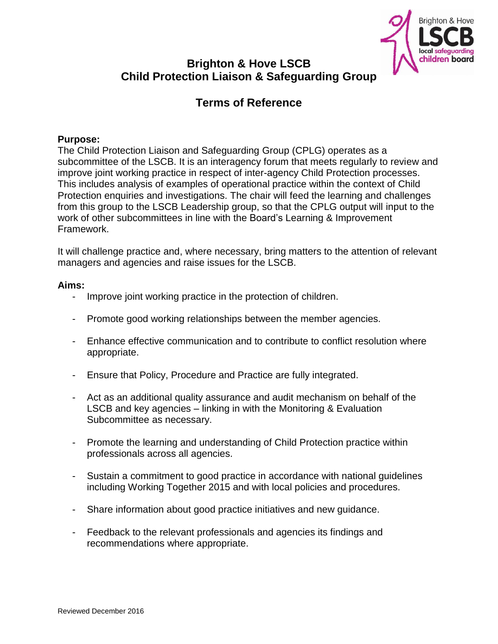

# **Brighton & Hove LSCB Child Protection Liaison & Safeguarding Group**

# **Terms of Reference**

## **Purpose:**

The Child Protection Liaison and Safeguarding Group (CPLG) operates as a subcommittee of the LSCB. It is an interagency forum that meets regularly to review and improve joint working practice in respect of inter-agency Child Protection processes. This includes analysis of examples of operational practice within the context of Child Protection enquiries and investigations. The chair will feed the learning and challenges from this group to the LSCB Leadership group, so that the CPLG output will input to the work of other subcommittees in line with the Board's Learning & Improvement Framework.

It will challenge practice and, where necessary, bring matters to the attention of relevant managers and agencies and raise issues for the LSCB.

#### **Aims:**

- Improve joint working practice in the protection of children.
- Promote good working relationships between the member agencies.
- Enhance effective communication and to contribute to conflict resolution where appropriate.
- Ensure that Policy, Procedure and Practice are fully integrated.
- Act as an additional quality assurance and audit mechanism on behalf of the LSCB and key agencies – linking in with the Monitoring & Evaluation Subcommittee as necessary.
- Promote the learning and understanding of Child Protection practice within professionals across all agencies.
- Sustain a commitment to good practice in accordance with national guidelines including Working Together 2015 and with local policies and procedures.
- Share information about good practice initiatives and new guidance.
- Feedback to the relevant professionals and agencies its findings and recommendations where appropriate.